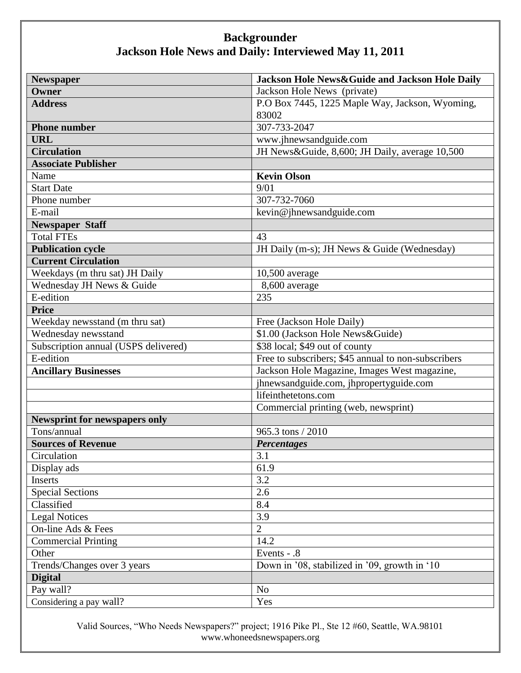| <b>Newspaper</b>                     | Jackson Hole News&Guide and Jackson Hole Daily      |
|--------------------------------------|-----------------------------------------------------|
| Owner                                | Jackson Hole News (private)                         |
| <b>Address</b>                       | P.O Box 7445, 1225 Maple Way, Jackson, Wyoming,     |
|                                      | 83002                                               |
| <b>Phone number</b>                  | 307-733-2047                                        |
| <b>URL</b>                           | www.jhnewsandguide.com                              |
| <b>Circulation</b>                   | JH News&Guide, 8,600; JH Daily, average 10,500      |
| <b>Associate Publisher</b>           |                                                     |
| Name                                 | <b>Kevin Olson</b>                                  |
| <b>Start Date</b>                    | 9/01                                                |
| Phone number                         | 307-732-7060                                        |
| E-mail                               | kevin@jhnewsandguide.com                            |
| <b>Newspaper Staff</b>               |                                                     |
| <b>Total FTEs</b>                    | 43                                                  |
| <b>Publication cycle</b>             | JH Daily (m-s); JH News & Guide (Wednesday)         |
| <b>Current Circulation</b>           |                                                     |
| Weekdays (m thru sat) JH Daily       | $10,500$ average                                    |
| Wednesday JH News & Guide            | 8,600 average                                       |
| E-edition                            | 235                                                 |
| <b>Price</b>                         |                                                     |
| Weekday newsstand (m thru sat)       | Free (Jackson Hole Daily)                           |
| Wednesday newsstand                  | \$1.00 (Jackson Hole News & Guide)                  |
| Subscription annual (USPS delivered) | \$38 local; \$49 out of county                      |
| E-edition                            | Free to subscribers; \$45 annual to non-subscribers |
| <b>Ancillary Businesses</b>          | Jackson Hole Magazine, Images West magazine,        |
|                                      | jhnewsandguide.com, jhpropertyguide.com             |
|                                      | lifeinthetetons.com                                 |
|                                      | Commercial printing (web, newsprint)                |
| <b>Newsprint for newspapers only</b> |                                                     |
| Tons/annual                          | 965.3 tons / 2010                                   |
| <b>Sources of Revenue</b>            | <b>Percentages</b>                                  |
| Circulation                          | 3.1                                                 |
| Display ads                          | 61.9                                                |
| Inserts                              | 3.2                                                 |
| <b>Special Sections</b>              | 2.6                                                 |
| Classified                           | 8.4                                                 |
| <b>Legal Notices</b>                 | 3.9                                                 |
| On-line Ads $&$ Fees                 | $\overline{2}$                                      |
| <b>Commercial Printing</b>           | 14.2                                                |
| Other                                | Events - .8                                         |
| Trends/Changes over 3 years          | Down in '08, stabilized in '09, growth in '10       |
| <b>Digital</b>                       |                                                     |
| Pay wall?                            | N <sub>o</sub>                                      |
| Considering a pay wall?              | Yes                                                 |

Valid Sources, "Who Needs Newspapers?" project; 1916 Pike Pl., Ste 12 #60, Seattle, WA.98101 www.whoneedsnewspapers.org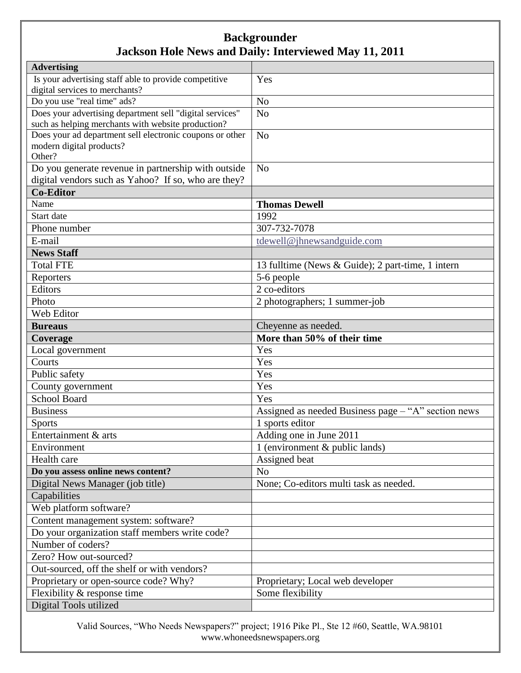| <b>Advertising</b>                                                                                         |                                                     |
|------------------------------------------------------------------------------------------------------------|-----------------------------------------------------|
| Is your advertising staff able to provide competitive                                                      | Yes                                                 |
| digital services to merchants?                                                                             |                                                     |
| Do you use "real time" ads?                                                                                | N <sub>o</sub>                                      |
| Does your advertising department sell "digital services"                                                   | N <sub>o</sub>                                      |
| such as helping merchants with website production?                                                         |                                                     |
| Does your ad department sell electronic coupons or other                                                   | N <sub>o</sub>                                      |
| modern digital products?<br>Other?                                                                         |                                                     |
|                                                                                                            | N <sub>o</sub>                                      |
| Do you generate revenue in partnership with outside<br>digital vendors such as Yahoo? If so, who are they? |                                                     |
| <b>Co-Editor</b>                                                                                           |                                                     |
| Name                                                                                                       | <b>Thomas Dewell</b>                                |
| Start date                                                                                                 | 1992                                                |
|                                                                                                            | 307-732-7078                                        |
| Phone number                                                                                               |                                                     |
| E-mail                                                                                                     | tdewell@jhnewsandguide.com                          |
| <b>News Staff</b>                                                                                          |                                                     |
| <b>Total FTE</b>                                                                                           | 13 fulltime (News & Guide); 2 part-time, 1 intern   |
| Reporters                                                                                                  | 5-6 people                                          |
| Editors                                                                                                    | 2 co-editors                                        |
| Photo                                                                                                      | 2 photographers; 1 summer-job                       |
| Web Editor                                                                                                 |                                                     |
| <b>Bureaus</b>                                                                                             | Cheyenne as needed.                                 |
| Coverage                                                                                                   | More than 50% of their time                         |
| Local government                                                                                           | Yes                                                 |
| Courts                                                                                                     | Yes                                                 |
| Public safety                                                                                              | Yes                                                 |
| County government                                                                                          | Yes                                                 |
| <b>School Board</b>                                                                                        | Yes                                                 |
| <b>Business</b>                                                                                            | Assigned as needed Business page - "A" section news |
| <b>Sports</b>                                                                                              | 1 sports editor                                     |
| Entertainment & arts                                                                                       | Adding one in June 2011                             |
| Environment                                                                                                | 1 (environment $&$ public lands)                    |
| Health care                                                                                                | Assigned beat                                       |
| Do you assess online news content?                                                                         | N <sub>o</sub>                                      |
| Digital News Manager (job title)                                                                           | None; Co-editors multi task as needed.              |
| Capabilities                                                                                               |                                                     |
| Web platform software?                                                                                     |                                                     |
| Content management system: software?                                                                       |                                                     |
| Do your organization staff members write code?                                                             |                                                     |
| Number of coders?                                                                                          |                                                     |
| Zero? How out-sourced?                                                                                     |                                                     |
| Out-sourced, off the shelf or with vendors?                                                                |                                                     |
| Proprietary or open-source code? Why?                                                                      | Proprietary; Local web developer                    |
| Flexibility & response time                                                                                | Some flexibility                                    |
| Digital Tools utilized                                                                                     |                                                     |

Valid Sources, "Who Needs Newspapers?" project; 1916 Pike Pl., Ste 12 #60, Seattle, WA.98101 www.whoneedsnewspapers.org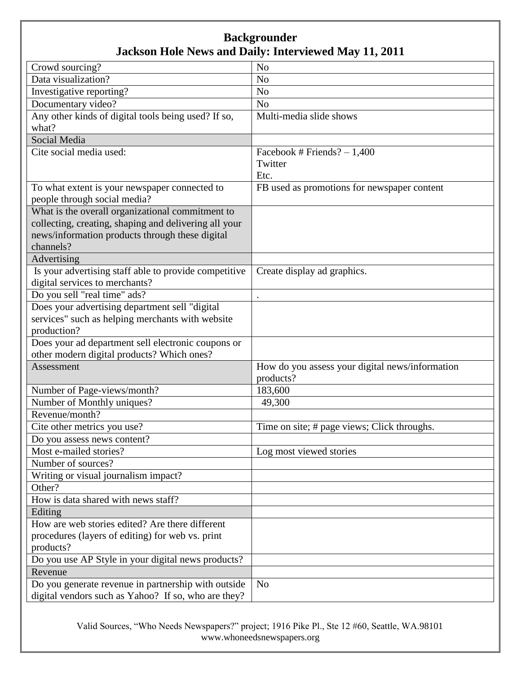| N <sub>o</sub><br>Crowd sourcing?<br>Data visualization?<br>N <sub>o</sub><br>Investigative reporting?<br>N <sub>o</sub><br>Documentary video?<br>N <sub>o</sub><br>Any other kinds of digital tools being used? If so,<br>Multi-media slide shows<br>what?<br>Social Media |
|-----------------------------------------------------------------------------------------------------------------------------------------------------------------------------------------------------------------------------------------------------------------------------|
|                                                                                                                                                                                                                                                                             |
|                                                                                                                                                                                                                                                                             |
|                                                                                                                                                                                                                                                                             |
|                                                                                                                                                                                                                                                                             |
|                                                                                                                                                                                                                                                                             |
|                                                                                                                                                                                                                                                                             |
|                                                                                                                                                                                                                                                                             |
| Cite social media used:<br>Facebook # Friends? $-1,400$                                                                                                                                                                                                                     |
| Twitter                                                                                                                                                                                                                                                                     |
| Etc.                                                                                                                                                                                                                                                                        |
| To what extent is your newspaper connected to<br>FB used as promotions for newspaper content                                                                                                                                                                                |
| people through social media?                                                                                                                                                                                                                                                |
| What is the overall organizational commitment to                                                                                                                                                                                                                            |
| collecting, creating, shaping and delivering all your                                                                                                                                                                                                                       |
| news/information products through these digital                                                                                                                                                                                                                             |
| channels?                                                                                                                                                                                                                                                                   |
| Advertising                                                                                                                                                                                                                                                                 |
| Is your advertising staff able to provide competitive<br>Create display ad graphics.                                                                                                                                                                                        |
| digital services to merchants?                                                                                                                                                                                                                                              |
| Do you sell "real time" ads?                                                                                                                                                                                                                                                |
| Does your advertising department sell "digital                                                                                                                                                                                                                              |
| services" such as helping merchants with website                                                                                                                                                                                                                            |
| production?                                                                                                                                                                                                                                                                 |
| Does your ad department sell electronic coupons or                                                                                                                                                                                                                          |
| other modern digital products? Which ones?                                                                                                                                                                                                                                  |
| How do you assess your digital news/information<br>Assessment                                                                                                                                                                                                               |
| products?                                                                                                                                                                                                                                                                   |
| Number of Page-views/month?<br>183,600                                                                                                                                                                                                                                      |
| Number of Monthly uniques?<br>49,300                                                                                                                                                                                                                                        |
| Revenue/month?                                                                                                                                                                                                                                                              |
| Cite other metrics you use?<br>Time on site; # page views; Click throughs.                                                                                                                                                                                                  |
| Do you assess news content?                                                                                                                                                                                                                                                 |
| Most e-mailed stories?<br>Log most viewed stories                                                                                                                                                                                                                           |
| Number of sources?                                                                                                                                                                                                                                                          |
| Writing or visual journalism impact?                                                                                                                                                                                                                                        |
| Other?                                                                                                                                                                                                                                                                      |
| How is data shared with news staff?                                                                                                                                                                                                                                         |
| Editing                                                                                                                                                                                                                                                                     |
| How are web stories edited? Are there different                                                                                                                                                                                                                             |
| procedures (layers of editing) for web vs. print                                                                                                                                                                                                                            |
| products?                                                                                                                                                                                                                                                                   |
| Do you use AP Style in your digital news products?                                                                                                                                                                                                                          |
| Revenue                                                                                                                                                                                                                                                                     |
| N <sub>o</sub><br>Do you generate revenue in partnership with outside                                                                                                                                                                                                       |
| digital vendors such as Yahoo? If so, who are they?                                                                                                                                                                                                                         |

Valid Sources, "Who Needs Newspapers?" project; 1916 Pike Pl., Ste 12 #60, Seattle, WA.98101 www.whoneedsnewspapers.org